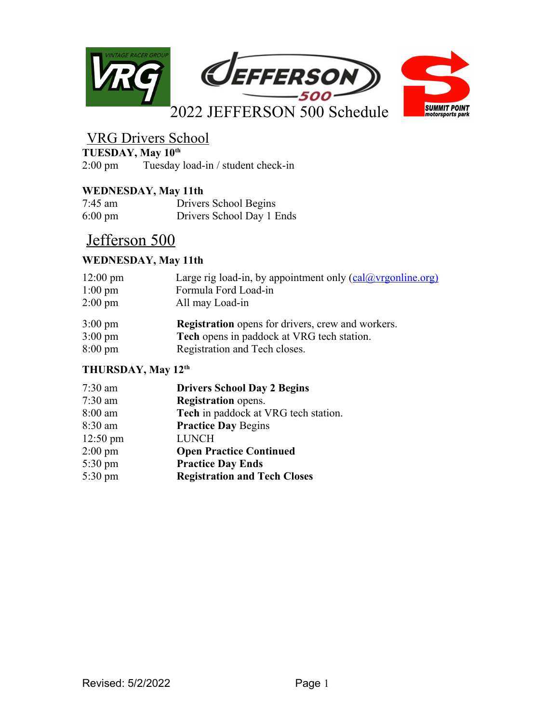

# VRG Drivers School

**TUESDAY, May 10<sup>th</sup>**<br>2:00 pm Tuesday

Tuesday load-in / student check-in

### **WEDNESDAY, May 11th**

| $7:45$ am         | Drivers School Begins     |
|-------------------|---------------------------|
| $6:00 \text{ pm}$ | Drivers School Day 1 Ends |

# Jefferson 500

# **WEDNESDAY, May 11th**

| $12:00 \text{ pm}$ | Large rig load-in, by appointment only $\left(\frac{\text{cal@vrgonline.org}}{\text{cal@vrgonline.org}}\right)$ |
|--------------------|-----------------------------------------------------------------------------------------------------------------|
| $1:00 \text{ pm}$  | Formula Ford Load-in                                                                                            |
| $2:00 \text{ pm}$  | All may Load-in                                                                                                 |
| $3:00 \text{ pm}$  | <b>Registration</b> opens for drivers, crew and workers.                                                        |
| $3:00 \text{ pm}$  | Tech opens in paddock at VRG tech station.                                                                      |
| $8:00 \text{ pm}$  | Registration and Tech closes.                                                                                   |

## **THURSDAY, May 12th**

| <b>Drivers School Day 2 Begins</b>   |
|--------------------------------------|
| <b>Registration</b> opens.           |
| Tech in paddock at VRG tech station. |
| <b>Practice Day Begins</b>           |
| <b>LUNCH</b>                         |
| <b>Open Practice Continued</b>       |
| <b>Practice Day Ends</b>             |
| <b>Registration and Tech Closes</b>  |
|                                      |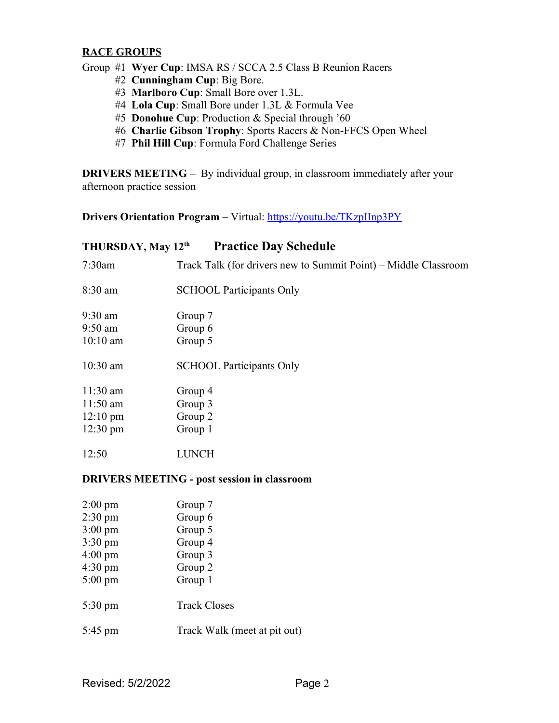### **RACE GROUPS**

Group #1 **Wyer Cup**: IMSA RS / SCCA 2.5 Class B Reunion Racers

- #2 **Cunningham Cup**: Big Bore.
- #3 **Marlboro Cup**: Small Bore over 1.3L.
- #4 **Lola Cup**: Small Bore under 1.3L & Formula Vee
- #5 **Donohue Cup**: Production & Special through '60
- #6 **Charlie Gibson Trophy**: Sports Racers & Non-FFCS Open Wheel
- #7 **Phil Hill Cup**: Formula Ford Challenge Series

**DRIVERS MEETING** – By individual group, in classroom immediately after your afternoon practice session

**Drivers Orientation Program** – Virtual:<https://youtu.be/TKzpIInp3PY>

### **THURSDAY, May 12th Practice Day Schedule**

| $7:30$ am                                          | Track Talk (for drivers new to Summit Point) – Middle Classroom |  |
|----------------------------------------------------|-----------------------------------------------------------------|--|
| $8:30$ am                                          | <b>SCHOOL Participants Only</b>                                 |  |
| $9:30$ am                                          | Group 7                                                         |  |
| $9:50$ am                                          | Group 6                                                         |  |
| $10:10$ am                                         | Group 5                                                         |  |
| $10:30$ am                                         | <b>SCHOOL Participants Only</b>                                 |  |
| $11:30$ am                                         | Group 4                                                         |  |
| $11:50$ am                                         | Group 3                                                         |  |
| $12:10 \text{ pm}$                                 | Group 2                                                         |  |
| $12:30 \text{ pm}$                                 | Group 1                                                         |  |
| 12:50                                              | <b>LUNCH</b>                                                    |  |
| <b>DRIVERS MEETING - post session in classroom</b> |                                                                 |  |
|                                                    |                                                                 |  |

| $2:00 \text{ pm}$ | Group 7                      |
|-------------------|------------------------------|
| $2:30 \text{ pm}$ | Group 6                      |
| $3:00 \text{ pm}$ | Group 5                      |
| $3:30 \text{ pm}$ | Group 4                      |
| $4:00 \text{ pm}$ | Group 3                      |
| $4:30 \text{ pm}$ | Group 2                      |
| $5:00 \text{ pm}$ | Group 1                      |
| $5:30 \text{ pm}$ | <b>Track Closes</b>          |
| $5:45$ pm         | Track Walk (meet at pit out) |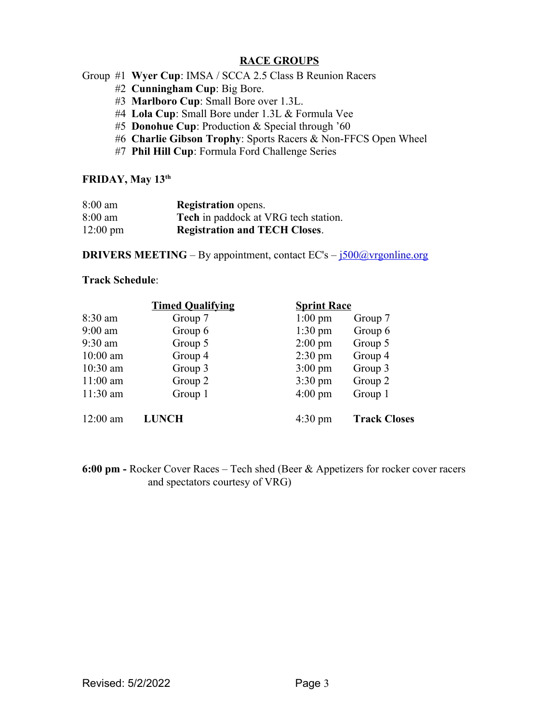### **RACE GROUPS**

- Group #1 **Wyer Cup**: IMSA / SCCA 2.5 Class B Reunion Racers
	- #2 **Cunningham Cup**: Big Bore.
	- #3 **Marlboro Cup**: Small Bore over 1.3L.
	- #4 **Lola Cup**: Small Bore under 1.3L & Formula Vee
	- #5 **Donohue Cup**: Production & Special through '60
	- #6 **Charlie Gibson Trophy**: Sports Racers & Non-FFCS Open Wheel
	- #7 **Phil Hill Cup**: Formula Ford Challenge Series

#### **FRIDAY, May 13th**

| $8:00$ am          | <b>Registration</b> opens.                  |
|--------------------|---------------------------------------------|
| $8:00$ am          | <b>Tech</b> in paddock at VRG tech station. |
| $12:00 \text{ pm}$ | <b>Registration and TECH Closes.</b>        |

**DRIVERS MEETING** – By appointment, contact EC's –  $\frac{1500\textcircled{a}}{2}$  vrgonline.org

#### **Track Schedule**:

|            | <b>Timed Qualifying</b> | <b>Sprint Race</b> |                     |
|------------|-------------------------|--------------------|---------------------|
| $8:30$ am  | Group 7                 | $1:00 \text{ pm}$  | Group 7             |
| $9:00$ am  | Group 6                 | $1:30$ pm          | Group 6             |
| $9:30$ am  | Group 5                 | $2:00 \text{ pm}$  | Group 5             |
| $10:00$ am | Group 4                 | $2:30 \text{ pm}$  | Group 4             |
| $10:30$ am | Group 3                 | $3:00 \text{ pm}$  | Group 3             |
| $11:00$ am | Group 2                 | $3:30 \text{ pm}$  | Group 2             |
| $11:30$ am | Group 1                 | $4:00 \text{ pm}$  | Group 1             |
| $12:00$ am | <b>LUNCH</b>            | $4:30 \text{ pm}$  | <b>Track Closes</b> |

**6:00 pm -** Rocker Cover Races – Tech shed (Beer & Appetizers for rocker cover racers and spectators courtesy of VRG)